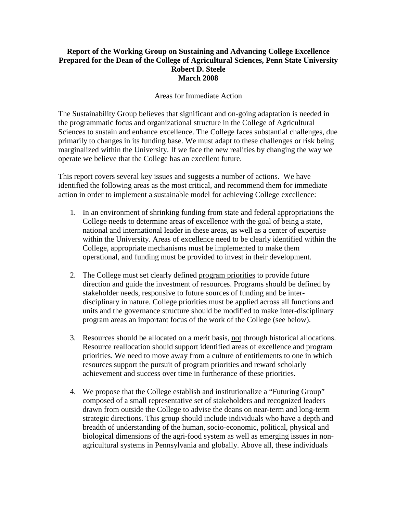#### **Report of the Working Group on Sustaining and Advancing College Excellence Prepared for the Dean of the College of Agricultural Sciences, Penn State University Robert D. Steele March 2008**

#### Areas for Immediate Action

The Sustainability Group believes that significant and on-going adaptation is needed in the programmatic focus and organizational structure in the College of Agricultural Sciences to sustain and enhance excellence. The College faces substantial challenges, due primarily to changes in its funding base. We must adapt to these challenges or risk being marginalized within the University. If we face the new realities by changing the way we operate we believe that the College has an excellent future.

This report covers several key issues and suggests a number of actions. We have identified the following areas as the most critical, and recommend them for immediate action in order to implement a sustainable model for achieving College excellence:

- 1. In an environment of shrinking funding from state and federal appropriations the College needs to determine areas of excellence with the goal of being a state, national and international leader in these areas, as well as a center of expertise within the University. Areas of excellence need to be clearly identified within the College, appropriate mechanisms must be implemented to make them operational, and funding must be provided to invest in their development.
- 2. The College must set clearly defined program priorities to provide future direction and guide the investment of resources. Programs should be defined by stakeholder needs, responsive to future sources of funding and be interdisciplinary in nature. College priorities must be applied across all functions and units and the governance structure should be modified to make inter-disciplinary program areas an important focus of the work of the College (see below).
- 3. Resources should be allocated on a merit basis, not through historical allocations. Resource reallocation should support identified areas of excellence and program priorities. We need to move away from a culture of entitlements to one in which resources support the pursuit of program priorities and reward scholarly achievement and success over time in furtherance of these priorities.
- 4. We propose that the College establish and institutionalize a "Futuring Group" composed of a small representative set of stakeholders and recognized leaders drawn from outside the College to advise the deans on near-term and long-term strategic directions. This group should include individuals who have a depth and breadth of understanding of the human, socio-economic, political, physical and biological dimensions of the agri-food system as well as emerging issues in nonagricultural systems in Pennsylvania and globally. Above all, these individuals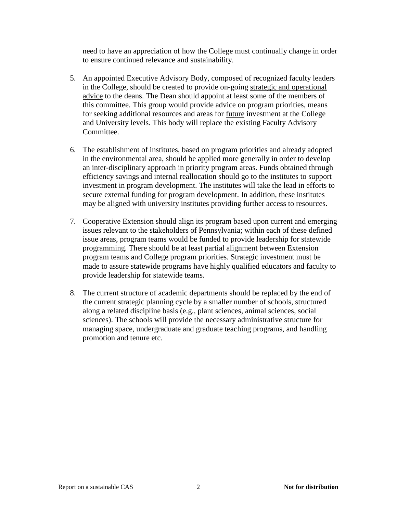need to have an appreciation of how the College must continually change in order to ensure continued relevance and sustainability.

- 5. An appointed Executive Advisory Body, composed of recognized faculty leaders in the College, should be created to provide on-going strategic and operational advice to the deans. The Dean should appoint at least some of the members of this committee. This group would provide advice on program priorities, means for seeking additional resources and areas for future investment at the College and University levels. This body will replace the existing Faculty Advisory Committee.
- 6. The establishment of institutes, based on program priorities and already adopted in the environmental area, should be applied more generally in order to develop an inter-disciplinary approach in priority program areas. Funds obtained through efficiency savings and internal reallocation should go to the institutes to support investment in program development. The institutes will take the lead in efforts to secure external funding for program development. In addition, these institutes may be aligned with university institutes providing further access to resources.
- 7. Cooperative Extension should align its program based upon current and emerging issues relevant to the stakeholders of Pennsylvania; within each of these defined issue areas, program teams would be funded to provide leadership for statewide programming. There should be at least partial alignment between Extension program teams and College program priorities. Strategic investment must be made to assure statewide programs have highly qualified educators and faculty to provide leadership for statewide teams.
- 8. The current structure of academic departments should be replaced by the end of the current strategic planning cycle by a smaller number of schools, structured along a related discipline basis (e.g., plant sciences, animal sciences, social sciences). The schools will provide the necessary administrative structure for managing space, undergraduate and graduate teaching programs, and handling promotion and tenure etc.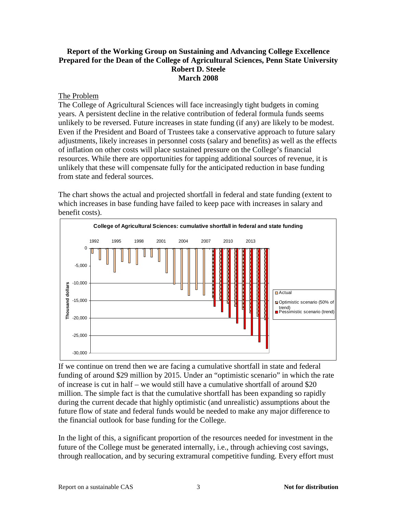#### **Report of the Working Group on Sustaining and Advancing College Excellence Prepared for the Dean of the College of Agricultural Sciences, Penn State University Robert D. Steele March 2008**

#### The Problem

The College of Agricultural Sciences will face increasingly tight budgets in coming years. A persistent decline in the relative contribution of federal formula funds seems unlikely to be reversed. Future increases in state funding (if any) are likely to be modest. Even if the President and Board of Trustees take a conservative approach to future salary adjustments, likely increases in personnel costs (salary and benefits) as well as the effects of inflation on other costs will place sustained pressure on the College's financial resources. While there are opportunities for tapping additional sources of revenue, it is unlikely that these will compensate fully for the anticipated reduction in base funding from state and federal sources.

The chart shows the actual and projected shortfall in federal and state funding (extent to which increases in base funding have failed to keep pace with increases in salary and benefit costs).



If we continue on trend then we are facing a cumulative shortfall in state and federal funding of around \$29 million by 2015. Under an "optimistic scenario" in which the rate of increase is cut in half – we would still have a cumulative shortfall of around \$20 million. The simple fact is that the cumulative shortfall has been expanding so rapidly during the current decade that highly optimistic (and unrealistic) assumptions about the future flow of state and federal funds would be needed to make any major difference to the financial outlook for base funding for the College.

In the light of this, a significant proportion of the resources needed for investment in the future of the College must be generated internally, i.e., through achieving cost savings, through reallocation, and by securing extramural competitive funding. Every effort must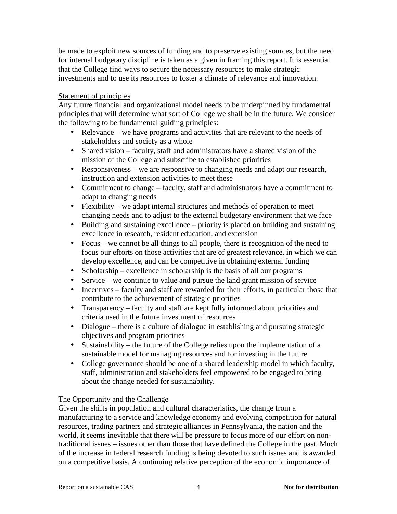be made to exploit new sources of funding and to preserve existing sources, but the need for internal budgetary discipline is taken as a given in framing this report. It is essential that the College find ways to secure the necessary resources to make strategic investments and to use its resources to foster a climate of relevance and innovation.

#### Statement of principles

Any future financial and organizational model needs to be underpinned by fundamental principles that will determine what sort of College we shall be in the future. We consider the following to be fundamental guiding principles:

- Relevance we have programs and activities that are relevant to the needs of stakeholders and society as a whole
- Shared vision faculty, staff and administrators have a shared vision of the mission of the College and subscribe to established priorities
- Responsiveness we are responsive to changing needs and adapt our research, instruction and extension activities to meet these
- Commitment to change faculty, staff and administrators have a commitment to adapt to changing needs
- Flexibility we adapt internal structures and methods of operation to meet changing needs and to adjust to the external budgetary environment that we face
- Building and sustaining excellence priority is placed on building and sustaining excellence in research, resident education, and extension
- Focus we cannot be all things to all people, there is recognition of the need to focus our efforts on those activities that are of greatest relevance, in which we can develop excellence, and can be competitive in obtaining external funding
- Scholarship excellence in scholarship is the basis of all our programs
- Service we continue to value and pursue the land grant mission of service
- Incentives faculty and staff are rewarded for their efforts, in particular those that contribute to the achievement of strategic priorities
- Transparency faculty and staff are kept fully informed about priorities and criteria used in the future investment of resources
- Dialogue there is a culture of dialogue in establishing and pursuing strategic objectives and program priorities
- Sustainability the future of the College relies upon the implementation of a sustainable model for managing resources and for investing in the future
- College governance should be one of a shared leadership model in which faculty, staff, administration and stakeholders feel empowered to be engaged to bring about the change needed for sustainability.

### The Opportunity and the Challenge

Given the shifts in population and cultural characteristics, the change from a manufacturing to a service and knowledge economy and evolving competition for natural resources, trading partners and strategic alliances in Pennsylvania, the nation and the world, it seems inevitable that there will be pressure to focus more of our effort on nontraditional issues – issues other than those that have defined the College in the past. Much of the increase in federal research funding is being devoted to such issues and is awarded on a competitive basis. A continuing relative perception of the economic importance of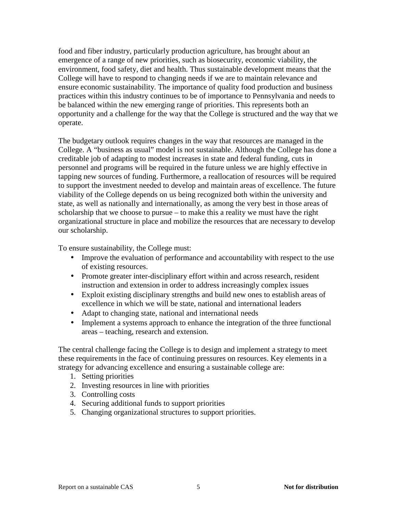food and fiber industry, particularly production agriculture, has brought about an emergence of a range of new priorities, such as biosecurity, economic viability, the environment, food safety, diet and health. Thus sustainable development means that the College will have to respond to changing needs if we are to maintain relevance and ensure economic sustainability. The importance of quality food production and business practices within this industry continues to be of importance to Pennsylvania and needs to be balanced within the new emerging range of priorities. This represents both an opportunity and a challenge for the way that the College is structured and the way that we operate.

The budgetary outlook requires changes in the way that resources are managed in the College. A "business as usual" model is not sustainable. Although the College has done a creditable job of adapting to modest increases in state and federal funding, cuts in personnel and programs will be required in the future unless we are highly effective in tapping new sources of funding. Furthermore, a reallocation of resources will be required to support the investment needed to develop and maintain areas of excellence. The future viability of the College depends on us being recognized both within the university and state, as well as nationally and internationally, as among the very best in those areas of scholarship that we choose to pursue – to make this a reality we must have the right organizational structure in place and mobilize the resources that are necessary to develop our scholarship.

To ensure sustainability, the College must:

- Improve the evaluation of performance and accountability with respect to the use of existing resources.
- Promote greater inter-disciplinary effort within and across research, resident instruction and extension in order to address increasingly complex issues
- Exploit existing disciplinary strengths and build new ones to establish areas of excellence in which we will be state, national and international leaders
- Adapt to changing state, national and international needs
- Implement a systems approach to enhance the integration of the three functional areas – teaching, research and extension.

The central challenge facing the College is to design and implement a strategy to meet these requirements in the face of continuing pressures on resources. Key elements in a strategy for advancing excellence and ensuring a sustainable college are:

- 1. Setting priorities
- 2. Investing resources in line with priorities
- 3. Controlling costs
- 4. Securing additional funds to support priorities
- 5. Changing organizational structures to support priorities.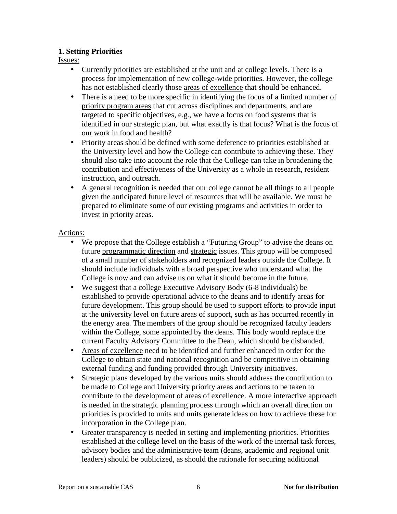#### **1. Setting Priorities**

Issues:

- Currently priorities are established at the unit and at college levels. There is a process for implementation of new college-wide priorities. However, the college has not established clearly those areas of excellence that should be enhanced.
- There is a need to be more specific in identifying the focus of a limited number of priority program areas that cut across disciplines and departments, and are targeted to specific objectives, e.g., we have a focus on food systems that is identified in our strategic plan, but what exactly is that focus? What is the focus of our work in food and health?
- Priority areas should be defined with some deference to priorities established at the University level and how the College can contribute to achieving these. They should also take into account the role that the College can take in broadening the contribution and effectiveness of the University as a whole in research, resident instruction, and outreach.
- A general recognition is needed that our college cannot be all things to all people given the anticipated future level of resources that will be available. We must be prepared to eliminate some of our existing programs and activities in order to invest in priority areas.

- We propose that the College establish a "Futuring Group" to advise the deans on future programmatic direction and strategic issues. This group will be composed of a small number of stakeholders and recognized leaders outside the College. It should include individuals with a broad perspective who understand what the College is now and can advise us on what it should become in the future.
- We suggest that a college Executive Advisory Body (6-8 individuals) be established to provide operational advice to the deans and to identify areas for future development. This group should be used to support efforts to provide input at the university level on future areas of support, such as has occurred recently in the energy area. The members of the group should be recognized faculty leaders within the College, some appointed by the deans. This body would replace the current Faculty Advisory Committee to the Dean, which should be disbanded.
- Areas of excellence need to be identified and further enhanced in order for the College to obtain state and national recognition and be competitive in obtaining external funding and funding provided through University initiatives.
- Strategic plans developed by the various units should address the contribution to be made to College and University priority areas and actions to be taken to contribute to the development of areas of excellence. A more interactive approach is needed in the strategic planning process through which an overall direction on priorities is provided to units and units generate ideas on how to achieve these for incorporation in the College plan.
- Greater transparency is needed in setting and implementing priorities. Priorities established at the college level on the basis of the work of the internal task forces, advisory bodies and the administrative team (deans, academic and regional unit leaders) should be publicized, as should the rationale for securing additional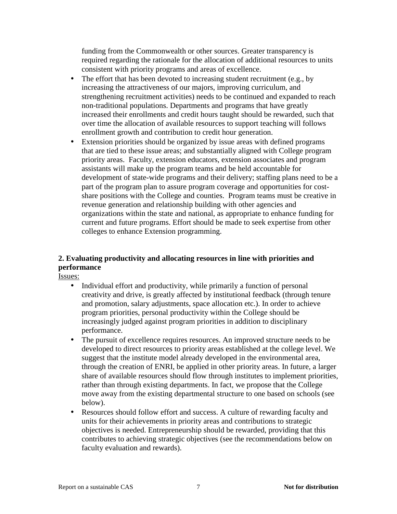funding from the Commonwealth or other sources. Greater transparency is required regarding the rationale for the allocation of additional resources to units consistent with priority programs and areas of excellence.

- The effort that has been devoted to increasing student recruitment (e.g., by increasing the attractiveness of our majors, improving curriculum, and strengthening recruitment activities) needs to be continued and expanded to reach non-traditional populations. Departments and programs that have greatly increased their enrollments and credit hours taught should be rewarded, such that over time the allocation of available resources to support teaching will follows enrollment growth and contribution to credit hour generation.
- Extension priorities should be organized by issue areas with defined programs that are tied to these issue areas; and substantially aligned with College program priority areas. Faculty, extension educators, extension associates and program assistants will make up the program teams and be held accountable for development of state-wide programs and their delivery; staffing plans need to be a part of the program plan to assure program coverage and opportunities for costshare positions with the College and counties. Program teams must be creative in revenue generation and relationship building with other agencies and organizations within the state and national, as appropriate to enhance funding for current and future programs. Effort should be made to seek expertise from other colleges to enhance Extension programming.

## **2. Evaluating productivity and allocating resources in line with priorities and performance**

Issues:

- Individual effort and productivity, while primarily a function of personal creativity and drive, is greatly affected by institutional feedback (through tenure and promotion, salary adjustments, space allocation etc.). In order to achieve program priorities, personal productivity within the College should be increasingly judged against program priorities in addition to disciplinary performance.
- The pursuit of excellence requires resources. An improved structure needs to be developed to direct resources to priority areas established at the college level. We suggest that the institute model already developed in the environmental area, through the creation of ENRI, be applied in other priority areas. In future, a larger share of available resources should flow through institutes to implement priorities, rather than through existing departments. In fact, we propose that the College move away from the existing departmental structure to one based on schools (see below).
- Resources should follow effort and success. A culture of rewarding faculty and units for their achievements in priority areas and contributions to strategic objectives is needed. Entrepreneurship should be rewarded, providing that this contributes to achieving strategic objectives (see the recommendations below on faculty evaluation and rewards).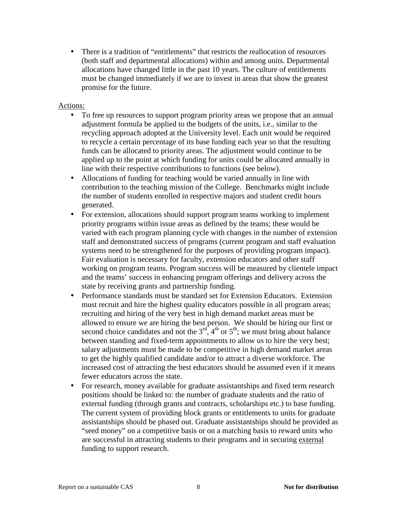• There is a tradition of "entitlements" that restricts the reallocation of resources (both staff and departmental allocations) within and among units. Departmental allocations have changed little in the past 10 years. The culture of entitlements must be changed immediately if we are to invest in areas that show the greatest promise for the future.

- To free up resources to support program priority areas we propose that an annual adjustment formula be applied to the budgets of the units, i.e., similar to the recycling approach adopted at the University level. Each unit would be required to recycle a certain percentage of its base funding each year so that the resulting funds can be allocated to priority areas. The adjustment would continue to be applied up to the point at which funding for units could be allocated annually in line with their respective contributions to functions (see below).
- Allocations of funding for teaching would be varied annually in line with contribution to the teaching mission of the College. Benchmarks might include the number of students enrolled in respective majors and student credit hours generated.
- For extension, allocations should support program teams working to implement priority programs within issue areas as defined by the teams; these would be varied with each program planning cycle with changes in the number of extension staff and demonstrated success of programs (current program and staff evaluation systems need to be strengthened for the purposes of providing program impact). Fair evaluation is necessary for faculty, extension educators and other staff working on program teams. Program success will be measured by clientele impact and the teams' success in enhancing program offerings and delivery across the state by receiving grants and partnership funding.
- Performance standards must be standard set for Extension Educators. Extension must recruit and hire the highest quality educators possible in all program areas; recruiting and hiring of the very best in high demand market areas must be allowed to ensure we are hiring the best person. We should be hiring our first or second choice candidates and not the  $3<sup>rd</sup>$ ,  $4<sup>th</sup>$  or  $5<sup>th</sup>$ ; we must bring about balance between standing and fixed-term appointments to allow us to hire the very best; salary adjustments must be made to be competitive in high demand market areas to get the highly qualified candidate and/or to attract a diverse workforce. The increased cost of attracting the best educators should be assumed even if it means fewer educators across the state.
- For research, money available for graduate assistantships and fixed term research positions should be linked to: the number of graduate students and the ratio of external funding (through grants and contracts, scholarships etc.) to base funding. The current system of providing block grants or entitlements to units for graduate assistantships should be phased out. Graduate assistantships should be provided as "seed money" on a competitive basis or on a matching basis to reward units who are successful in attracting students to their programs and in securing external funding to support research.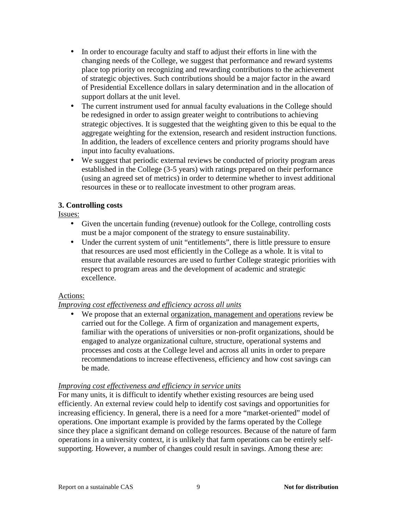- In order to encourage faculty and staff to adjust their efforts in line with the changing needs of the College, we suggest that performance and reward systems place top priority on recognizing and rewarding contributions to the achievement of strategic objectives. Such contributions should be a major factor in the award of Presidential Excellence dollars in salary determination and in the allocation of support dollars at the unit level.
- The current instrument used for annual faculty evaluations in the College should be redesigned in order to assign greater weight to contributions to achieving strategic objectives. It is suggested that the weighting given to this be equal to the aggregate weighting for the extension, research and resident instruction functions. In addition, the leaders of excellence centers and priority programs should have input into faculty evaluations.
- We suggest that periodic external reviews be conducted of priority program areas established in the College (3-5 years) with ratings prepared on their performance (using an agreed set of metrics) in order to determine whether to invest additional resources in these or to reallocate investment to other program areas.

### **3. Controlling costs**

Issues:

- Given the uncertain funding (revenue) outlook for the College, controlling costs must be a major component of the strategy to ensure sustainability.
- Under the current system of unit "entitlements", there is little pressure to ensure that resources are used most efficiently in the College as a whole. It is vital to ensure that available resources are used to further College strategic priorities with respect to program areas and the development of academic and strategic excellence.

### Actions:

## *Improving cost effectiveness and efficiency across all units*

• We propose that an external organization, management and operations review be carried out for the College. A firm of organization and management experts, familiar with the operations of universities or non-profit organizations, should be engaged to analyze organizational culture, structure, operational systems and processes and costs at the College level and across all units in order to prepare recommendations to increase effectiveness, efficiency and how cost savings can be made.

### *Improving cost effectiveness and efficiency in service units*

For many units, it is difficult to identify whether existing resources are being used efficiently. An external review could help to identify cost savings and opportunities for increasing efficiency. In general, there is a need for a more "market-oriented" model of operations. One important example is provided by the farms operated by the College since they place a significant demand on college resources. Because of the nature of farm operations in a university context, it is unlikely that farm operations can be entirely selfsupporting. However, a number of changes could result in savings. Among these are: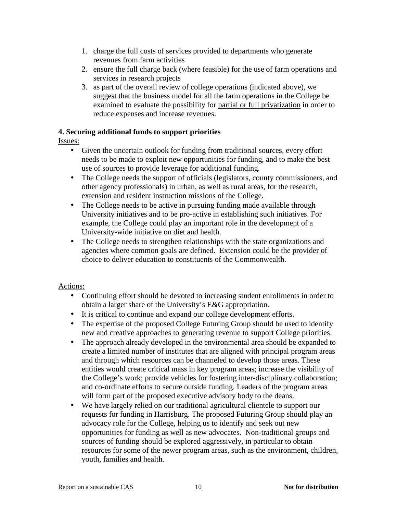- 1. charge the full costs of services provided to departments who generate revenues from farm activities
- 2. ensure the full charge back (where feasible) for the use of farm operations and services in research projects
- 3. as part of the overall review of college operations (indicated above), we suggest that the business model for all the farm operations in the College be examined to evaluate the possibility for partial or full privatization in order to reduce expenses and increase revenues.

### **4. Securing additional funds to support priorities**

Issues:

- Given the uncertain outlook for funding from traditional sources, every effort needs to be made to exploit new opportunities for funding, and to make the best use of sources to provide leverage for additional funding.
- The College needs the support of officials (legislators, county commissioners, and other agency professionals) in urban, as well as rural areas, for the research, extension and resident instruction missions of the College.
- The College needs to be active in pursuing funding made available through University initiatives and to be pro-active in establishing such initiatives. For example, the College could play an important role in the development of a University-wide initiative on diet and health.
- The College needs to strengthen relationships with the state organizations and agencies where common goals are defined. Extension could be the provider of choice to deliver education to constituents of the Commonwealth.

- Continuing effort should be devoted to increasing student enrollments in order to obtain a larger share of the University's E&G appropriation.
- It is critical to continue and expand our college development efforts.
- The expertise of the proposed College Futuring Group should be used to identify new and creative approaches to generating revenue to support College priorities.
- The approach already developed in the environmental area should be expanded to create a limited number of institutes that are aligned with principal program areas and through which resources can be channeled to develop those areas. These entities would create critical mass in key program areas; increase the visibility of the College's work; provide vehicles for fostering inter-disciplinary collaboration; and co-ordinate efforts to secure outside funding. Leaders of the program areas will form part of the proposed executive advisory body to the deans.
- We have largely relied on our traditional agricultural clientele to support our requests for funding in Harrisburg. The proposed Futuring Group should play an advocacy role for the College, helping us to identify and seek out new opportunities for funding as well as new advocates. Non-traditional groups and sources of funding should be explored aggressively, in particular to obtain resources for some of the newer program areas, such as the environment, children, youth, families and health.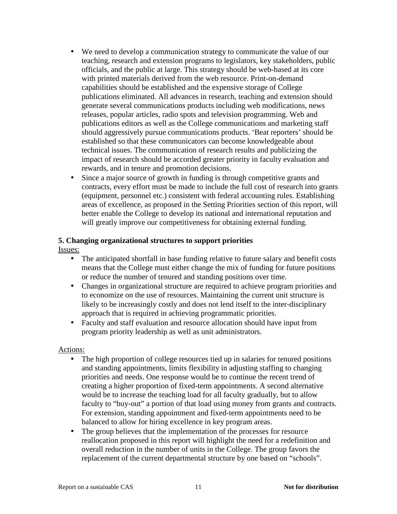- We need to develop a communication strategy to communicate the value of our teaching, research and extension programs to legislators, key stakeholders, public officials, and the public at large. This strategy should be web-based at its core with printed materials derived from the web resource. Print-on-demand capabilities should be established and the expensive storage of College publications eliminated. All advances in research, teaching and extension should generate several communications products including web modifications, news releases, popular articles, radio spots and television programming. Web and publications editors as well as the College communications and marketing staff should aggressively pursue communications products. 'Beat reporters' should be established so that these communicators can become knowledgeable about technical issues. The communication of research results and publicizing the impact of research should be accorded greater priority in faculty evaluation and rewards, and in tenure and promotion decisions.
- Since a major source of growth in funding is through competitive grants and contracts, every effort must be made to include the full cost of research into grants (equipment, personnel etc.) consistent with federal accounting rules. Establishing areas of excellence, as proposed in the Setting Priorities section of this report, will better enable the College to develop its national and international reputation and will greatly improve our competitiveness for obtaining external funding.

# **5. Changing organizational structures to support priorities**

Issues:

- The anticipated shortfall in base funding relative to future salary and benefit costs means that the College must either change the mix of funding for future positions or reduce the number of tenured and standing positions over time.
- Changes in organizational structure are required to achieve program priorities and to economize on the use of resources. Maintaining the current unit structure is likely to be increasingly costly and does not lend itself to the inter-disciplinary approach that is required in achieving programmatic priorities.
- Faculty and staff evaluation and resource allocation should have input from program priority leadership as well as unit administrators.

- The high proportion of college resources tied up in salaries for tenured positions and standing appointments, limits flexibility in adjusting staffing to changing priorities and needs. One response would be to continue the recent trend of creating a higher proportion of fixed-term appointments. A second alternative would be to increase the teaching load for all faculty gradually, but to allow faculty to "buy-out" a portion of that load using money from grants and contracts. For extension, standing appointment and fixed-term appointments need to be balanced to allow for hiring excellence in key program areas.
- The group believes that the implementation of the processes for resource reallocation proposed in this report will highlight the need for a redefinition and overall reduction in the number of units in the College. The group favors the replacement of the current departmental structure by one based on "schools".